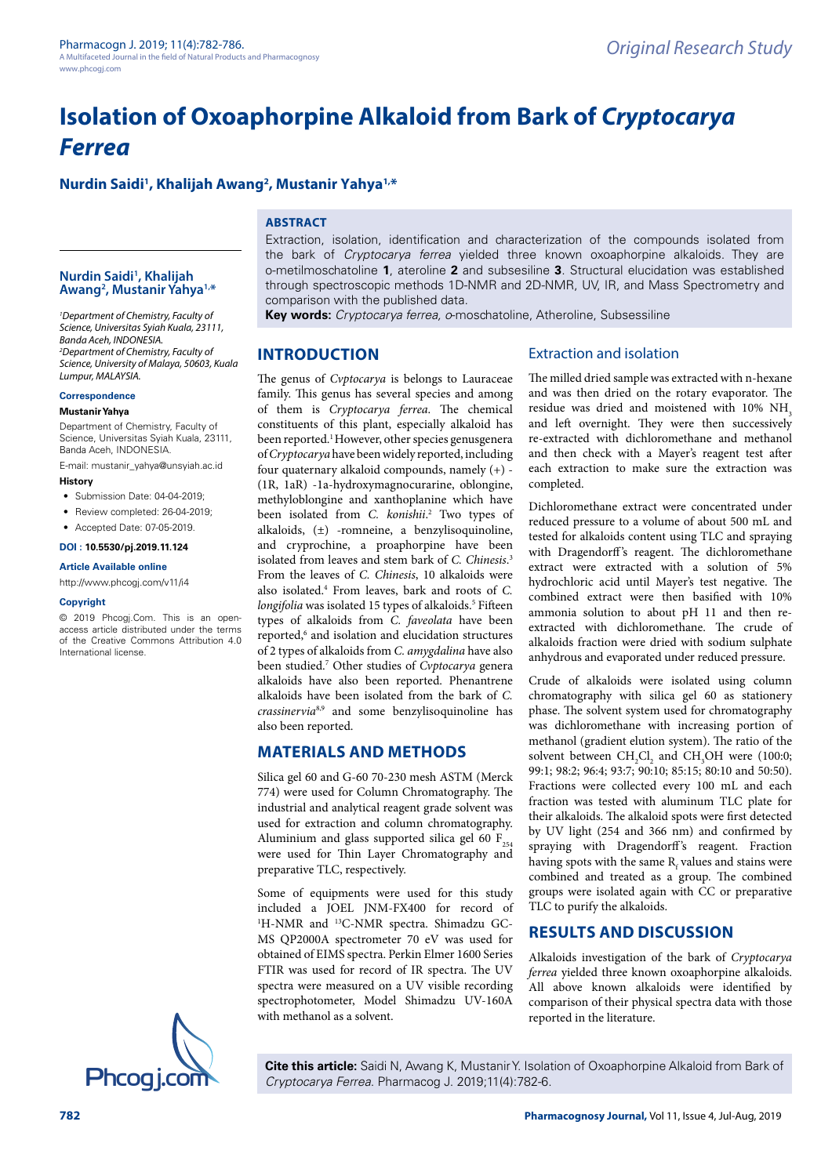# **Isolation of Oxoaphorpine Alkaloid from Bark of** *Cryptocarya Ferrea*

# **Nurdin Saidi1 , Khalijah Awang2 , Mustanir Yahya1,\***

# **ABSTRACT**

#### **Nurdin Saidi1 , Khalijah Awang2 , Mustanir Yahya1,\***

*1 Department of Chemistry, Faculty of Science, Universitas Syiah Kuala, 23111, Banda Aceh, INDONESIA. 2 Department of Chemistry, Faculty of Science, University of Malaya, 50603, Kuala Lumpur, MALAYSIA.*

### **Correspondence**

#### **Mustanir Yahya**

Department of Chemistry, Faculty of Science, Universitas Syiah Kuala, 23111, Banda Aceh, INDONESIA.

E-mail: [mustanir\\_yahya@unsyiah.ac.id](mailto:mustanir_yahya@unsyiah.ac.id) **History**

- Submission Date: 04-04-2019;
- Review completed: 26-04-2019;
- Accepted Date: 07-05-2019.

**DOI : 10.5530/pj.2019.11.124**

# **Article Available online**

[http://www.phcogj.com/v11/i](http://www.phcogj.com/v11/i3)4

#### **Copyright**

© 2019 Phcogj.Com. This is an openaccess article distributed under the terms of the Creative Commons Attribution 4.0 International license.



### Extraction, isolation, identification and characterization of the compounds isolated from the bark of *Cryptocarya ferrea* yielded three known oxoaphorpine alkaloids. They are o-metilmoschatoline **1**, ateroline **2** and subsesiline **3**. Structural elucidation was established through spectroscopic methods 1D-NMR and 2D-NMR, UV, IR, and Mass Spectrometry and comparison with the published data.

**Key words:** *Cryptocarya ferrea, o*-moschatoline, Atheroline, Subsessiline

### **INTRODUCTION**

The genus of *Cvptocarya* is belongs to Lauraceae family. This genus has several species and among of them is *Cryptocarya ferrea*. The chemical constituents of this plant, especially alkaloid has been reported.<sup>1</sup> However, other species genusgenera of *Cryptocarya* have been widely reported, including four quaternary alkaloid compounds, namely (+) - (1R, 1aR) -1a-hydroxymagnocurarine, oblongine, methyloblongine and xanthoplanine which have been isolated from *C. konishii*. 2 Two types of alkaloids, (±) -romneine, a benzylisoquinoline, and cryprochine, a proaphorpine have been isolated from leaves and stem bark of *C. Chinesis*. 3 From the leaves of *C. Chinesis*, 10 alkaloids were also isolated.4 From leaves, bark and roots of *C.*  longifolia was isolated 15 types of alkaloids.<sup>5</sup> Fifteen types of alkaloids from *C. faveolata* have been reported,<sup>6</sup> and isolation and elucidation structures of 2 types of alkaloids from *C. amygdalina* have also been studied.7 Other studies of *Cvptocarya* genera alkaloids have also been reported. Phenantrene alkaloids have been isolated from the bark of *C. crassinervia*8,9 and some benzylisoquinoline has also been reported.

## **MATERIALS AND METHODS**

Silica gel 60 and G-60 70-230 mesh ASTM (Merck 774) were used for Column Chromatography. The industrial and analytical reagent grade solvent was used for extraction and column chromatography. Aluminium and glass supported silica gel 60  $F_{254}$ were used for Thin Layer Chromatography and preparative TLC, respectively.

Some of equipments were used for this study included a JOEL JNM-FX400 for record of <sup>1</sup>H-NMR and <sup>13</sup>C-NMR spectra. Shimadzu GC-MS QP2000A spectrometer 70 eV was used for obtained of EIMS spectra. Perkin Elmer 1600 Series FTIR was used for record of IR spectra. The UV spectra were measured on a UV visible recording spectrophotometer, Model Shimadzu UV-160A with methanol as a solvent.

# Extraction and isolation

The milled dried sample was extracted with n-hexane and was then dried on the rotary evaporator. The residue was dried and moistened with 10% NH<sub>3</sub> and left overnight. They were then successively re-extracted with dichloromethane and methanol and then check with a Mayer's reagent test after each extraction to make sure the extraction was completed.

Dichloromethane extract were concentrated under reduced pressure to a volume of about 500 mL and tested for alkaloids content using TLC and spraying with Dragendorff's reagent. The dichloromethane extract were extracted with a solution of 5% hydrochloric acid until Mayer's test negative. The combined extract were then basified with 10% ammonia solution to about pH 11 and then reextracted with dichloromethane. The crude of alkaloids fraction were dried with sodium sulphate anhydrous and evaporated under reduced pressure.

Crude of alkaloids were isolated using column chromatography with silica gel 60 as stationery phase. The solvent system used for chromatography was dichloromethane with increasing portion of methanol (gradient elution system). The ratio of the solvent between  $CH_2Cl_2$  and  $CH_3OH$  were (100:0; 99:1; 98:2; 96:4; 93:7; 90:10; 85:15; 80:10 and 50:50). Fractions were collected every 100 mL and each fraction was tested with aluminum TLC plate for their alkaloids. The alkaloid spots were first detected by UV light (254 and 366 nm) and confirmed by spraying with Dragendorff's reagent. Fraction having spots with the same  $\mathrm{R_{f}}$  values and stains were combined and treated as a group. The combined groups were isolated again with CC or preparative TLC to purify the alkaloids.

## **RESULTS AND DISCUSSION**

Alkaloids investigation of the bark of *Cryptocarya ferrea* yielded three known oxoaphorpine alkaloids. All above known alkaloids were identified by comparison of their physical spectra data with those reported in the literature.

**Cite this article:** Saidi N, Awang K, Mustanir Y. Isolation of Oxoaphorpine Alkaloid from Bark of *Cryptocarya Ferrea*. Pharmacog J. 2019;11(4):782-6.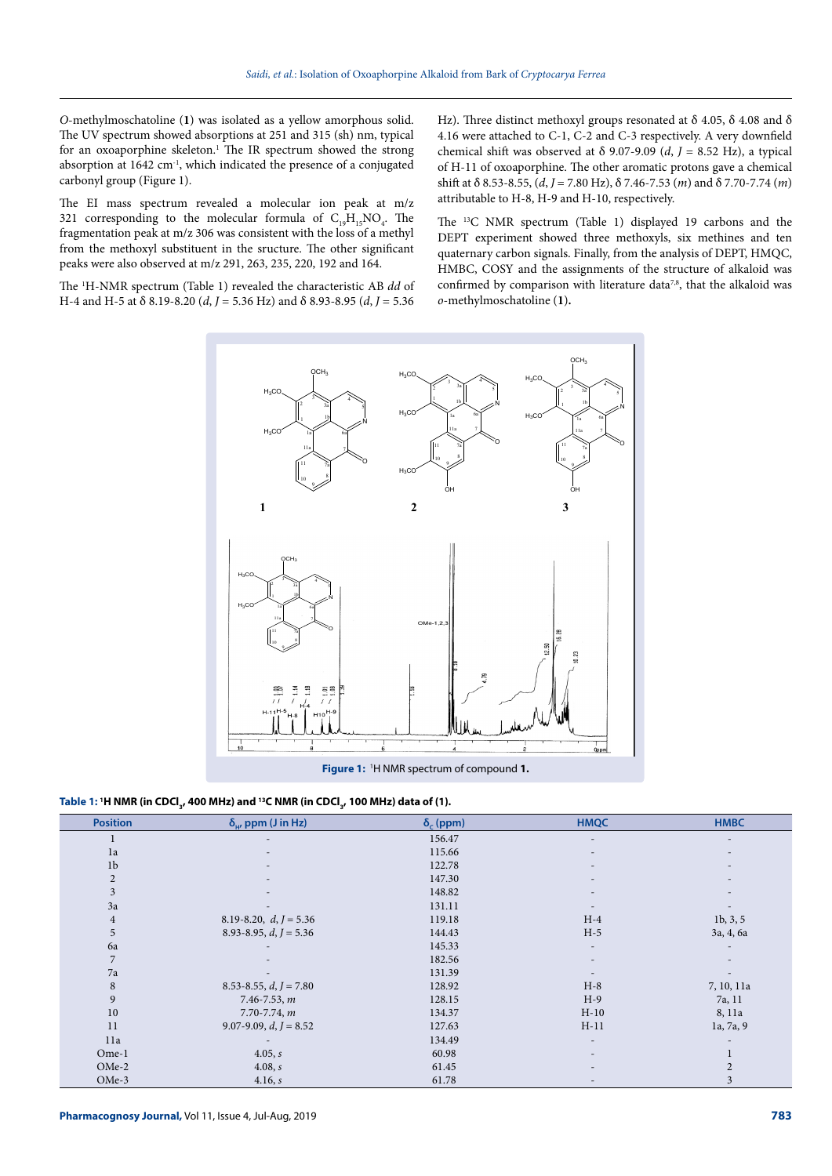*O*-methylmoschatoline (**1**) was isolated as a yellow amorphous solid. The UV spectrum showed absorptions at 251 and 315 (sh) nm, typical for an oxoaporphine skeleton.<sup>1</sup> The IR spectrum showed the strong absorption at 1642 cm-1, which indicated the presence of a conjugated carbonyl group (Figure 1).

The EI mass spectrum revealed a molecular ion peak at m/z 321 corresponding to the molecular formula of  $C_{19}H_{15}NO_4$ . The fragmentation peak at m/z 306 was consistent with the loss of a methyl from the methoxyl substituent in the sructure. The other significant peaks were also observed at m/z 291, 263, 235, 220, 192 and 164.

The 1 H-NMR spectrum (Table 1) revealed the characteristic AB *dd* of H-4 and H-5 at δ 8.19-8.20 (*d*, *J* = 5.36 Hz) and δ 8.93-8.95 (*d*, *J* = 5.36 Hz). Three distinct methoxyl groups resonated at  $\delta$  4.05,  $\delta$  4.08 and  $\delta$ 4.16 were attached to C-1, C-2 and C-3 respectively. A very downfield chemical shift was observed at  $\delta$  9.07-9.09 (*d*, *J* = 8.52 Hz), a typical of H-11 of oxoaporphine. The other aromatic protons gave a chemical shift at δ 8.53-8.55, (*d*, *J* = 7.80 Hz), δ 7.46-7.53 (*m*) and δ 7.70-7.74 (*m*) attributable to H-8, H-9 and H-10, respectively.

The 13C NMR spectrum (Table 1) displayed 19 carbons and the DEPT experiment showed three methoxyls, six methines and ten quaternary carbon signals. Finally, from the analysis of DEPT, HMQC, HMBC, COSY and the assignments of the structure of alkaloid was confirmed by comparison with literature data<sup>7,8</sup>, that the alkaloid was *o*-methylmoschatoline (**1**)**.** 



Table 1: 'H NMR (in CDCl<sub>3</sub>, 400 MHz) and <sup>13</sup>C NMR (in CDCl<sub>3</sub>, 100 MHz) data of (1).

| <b>Position</b> | $\delta_{\mu}$ , ppm (J in Hz) | $\delta_c$ (ppm) | <b>HMQC</b>              | <b>HMBC</b>              |
|-----------------|--------------------------------|------------------|--------------------------|--------------------------|
|                 |                                | 156.47           |                          |                          |
| 1a              |                                | 115.66           |                          |                          |
| 1 <sub>b</sub>  |                                | 122.78           |                          |                          |
| $\overline{2}$  |                                | 147.30           |                          |                          |
| 3               | $\overline{\phantom{a}}$       | 148.82           | $\qquad \qquad$          | $\overline{\phantom{a}}$ |
| 3a              |                                | 131.11           |                          |                          |
| $\overline{4}$  | 8.19-8.20, $d, J = 5.36$       | 119.18           | $H-4$                    | 1b, 3, 5                 |
| 5               | 8.93-8.95, $d, J = 5.36$       | 144.43           | $H-5$                    | 3a, 4, 6a                |
| 6a              |                                | 145.33           | $\overline{\phantom{a}}$ |                          |
| 7               |                                | 182.56           |                          |                          |
| 7a              |                                | 131.39           |                          |                          |
| 8               | $8.53 - 8.55$ , $d, J = 7.80$  | 128.92           | $H-8$                    | 7, 10, 11a               |
| 9               | $7.46 - 7.53, m$               | 128.15           | $H-9$                    | 7a, 11                   |
| 10              | $7.70 - 7.74$ , m              | 134.37           | $H-10$                   | 8, 11a                   |
| 11              | 9.07-9.09, $d, J = 8.52$       | 127.63           | $H-11$                   | 1a, 7a, 9                |
| 11a             |                                | 134.49           |                          |                          |
| Ome-1           | 4.05, s                        | 60.98            |                          |                          |
| OMe-2           | 4.08, s                        | 61.45            |                          | $\overline{2}$           |
| OMe-3           | 4.16, s                        | 61.78            | $\qquad \qquad$          | 3                        |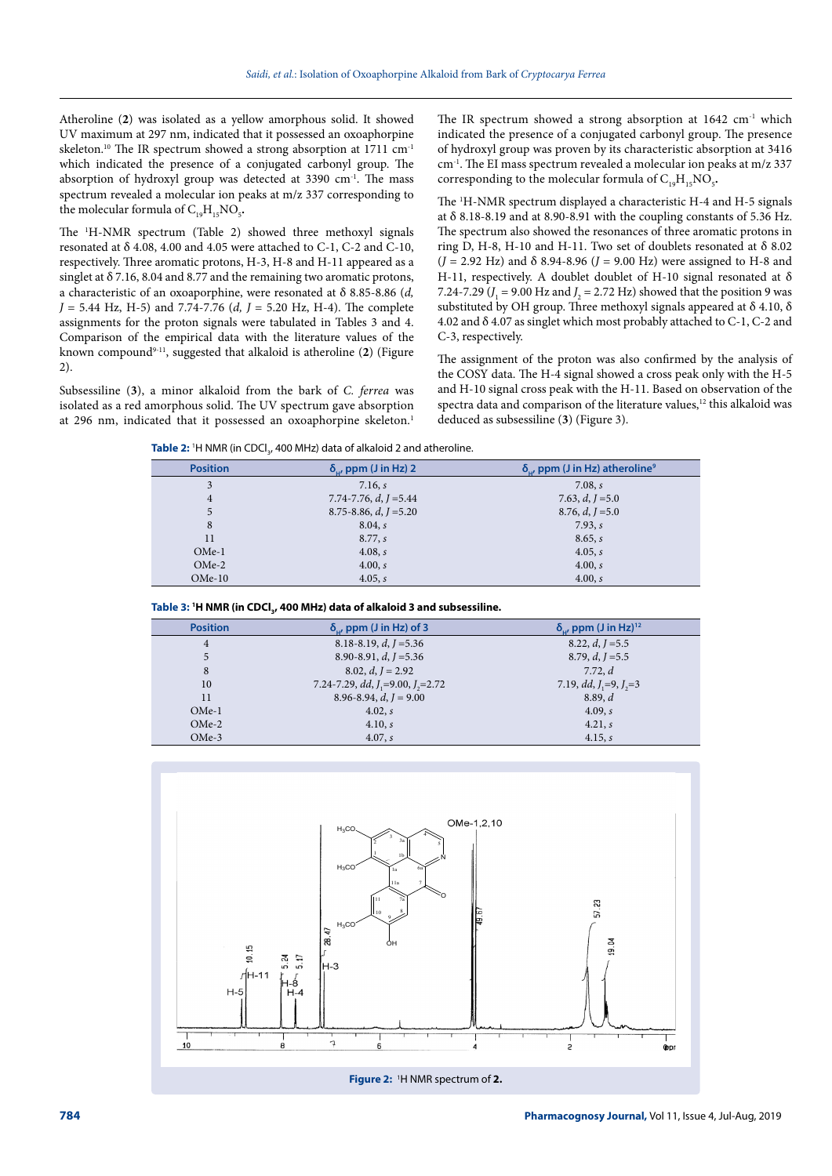Atheroline (**2**) was isolated as a yellow amorphous solid. It showed UV maximum at 297 nm, indicated that it possessed an oxoaphorpine skeleton.<sup>10</sup> The IR spectrum showed a strong absorption at  $1711 \text{ cm}^{-1}$ which indicated the presence of a conjugated carbonyl group. The absorption of hydroxyl group was detected at 3390 cm<sup>-1</sup>. The mass spectrum revealed a molecular ion peaks at m/z 337 corresponding to the molecular formula of  $C_{19}H_{15}NO_5$ .

The 1 H-NMR spectrum (Table 2) showed three methoxyl signals resonated at  $\delta$  4.08, 4.00 and 4.05 were attached to C-1, C-2 and C-10, respectively. Three aromatic protons, H-3, H-8 and H-11 appeared as a singlet at δ 7.16, 8.04 and 8.77 and the remaining two aromatic protons, a characteristic of an oxoaporphine, were resonated at δ 8.85-8.86 (*d, J* = 5.44 Hz, H-5) and 7.74-7.76 (*d, J* = 5.20 Hz, H-4). The complete assignments for the proton signals were tabulated in Tables 3 and 4. Comparison of the empirical data with the literature values of the known compound9-11, suggested that alkaloid is atheroline (**2**) (Figure 2).

Subsessiline (**3**), a minor alkaloid from the bark of *C. ferrea* was isolated as a red amorphous solid. The UV spectrum gave absorption at 296 nm, indicated that it possessed an oxoaphorpine skeleton.<sup>1</sup>

The IR spectrum showed a strong absorption at 1642 cm<sup>-1</sup> which indicated the presence of a conjugated carbonyl group. The presence of hydroxyl group was proven by its characteristic absorption at 3416 cm-1. The EI mass spectrum revealed a molecular ion peaks at m/z 337 corresponding to the molecular formula of  $C_{19}H_{15}NO_5$ .

The <sup>1</sup>H-NMR spectrum displayed a characteristic H-4 and H-5 signals at δ 8.18-8.19 and at 8.90-8.91 with the coupling constants of 5.36 Hz. The spectrum also showed the resonances of three aromatic protons in ring D, H-8, H-10 and H-11. Two set of doublets resonated at  $\delta$  8.02 (*J* = 2.92 Hz) and δ 8.94-8.96 (*J* = 9.00 Hz) were assigned to H-8 and H-11, respectively. A doublet doublet of H-10 signal resonated at δ 7.24-7.29 ( $J_1$  = 9.00 Hz and  $J_2$  = 2.72 Hz) showed that the position 9 was substituted by OH group. Three methoxyl signals appeared at  $\delta$  4.10,  $\delta$ 4.02 and δ 4.07 as singlet which most probably attached to C-1, C-2 and C-3, respectively.

The assignment of the proton was also confirmed by the analysis of the COSY data. The H-4 signal showed a cross peak only with the H-5 and H-10 signal cross peak with the H-11. Based on observation of the spectra data and comparison of the literature values,<sup>12</sup> this alkaloid was deduced as subsessiline (**3**) (Figure 3).

Table 2: <sup>1</sup>H NMR (in CDCl<sub>3</sub>, 400 MHz) data of alkaloid 2 and atheroline.

| <b>Position</b> | $\delta_{\mu}$ , ppm (J in Hz) 2 | $\delta_{\mu}$ , ppm (J in Hz) atheroline <sup>9</sup> |
|-----------------|----------------------------------|--------------------------------------------------------|
| 3               | 7.16, s                          | 7.08, s                                                |
| 4               | 7.74-7.76, $d, I = 5.44$         | 7.63, $d, I = 5.0$                                     |
| 5               | $8.75 - 8.86$ , d, $I = 5.20$    | $8.76, d, J = 5.0$                                     |
| 8               | 8.04, s                          | 7.93, s                                                |
| 11              | 8.77, s                          | 8.65, s                                                |
| $OMe-1$         | 4.08, s                          | 4.05, s                                                |
| $OMe-2$         | 4.00, s                          | 4.00, s                                                |
| $OMe-10$        | 4.05, s                          | 4.00, s                                                |

| Table 3: <sup>1</sup> H NMR (in CDCl <sub>3</sub> , 400 MHz) data of alkaloid 3 and subsessiline. |  |
|---------------------------------------------------------------------------------------------------|--|
|---------------------------------------------------------------------------------------------------|--|

| <b>Position</b> | $\delta_{\mu}$ , ppm (J in Hz) of 3     | $\delta_{\rm u}$ , ppm (J in Hz) <sup>12</sup> |
|-----------------|-----------------------------------------|------------------------------------------------|
| 4               | 8.18-8.19, $d, I = 5.36$                | 8.22, d, $I = 5.5$                             |
| 5               | 8.90-8.91, $d, I = 5.36$                | 8.79, $d, I = 5.5$                             |
| 8               | $8.02, d, J = 2.92$                     | 7.72, d                                        |
| 10              | 7.24-7.29, dd, $J_1$ =9.00, $J_2$ =2.72 | 7.19, $dd, J, =9, J, =3$                       |
| 11              | 8.96-8.94, $d, I = 9.00$                | 8.89, d                                        |
| $OMe-1$         | 4.02, s                                 | 4.09, s                                        |
| $OMe-2$         | 4.10, s                                 | 4.21, s                                        |
| $OMe-3$         | 4.07, s                                 | 4.15, s                                        |

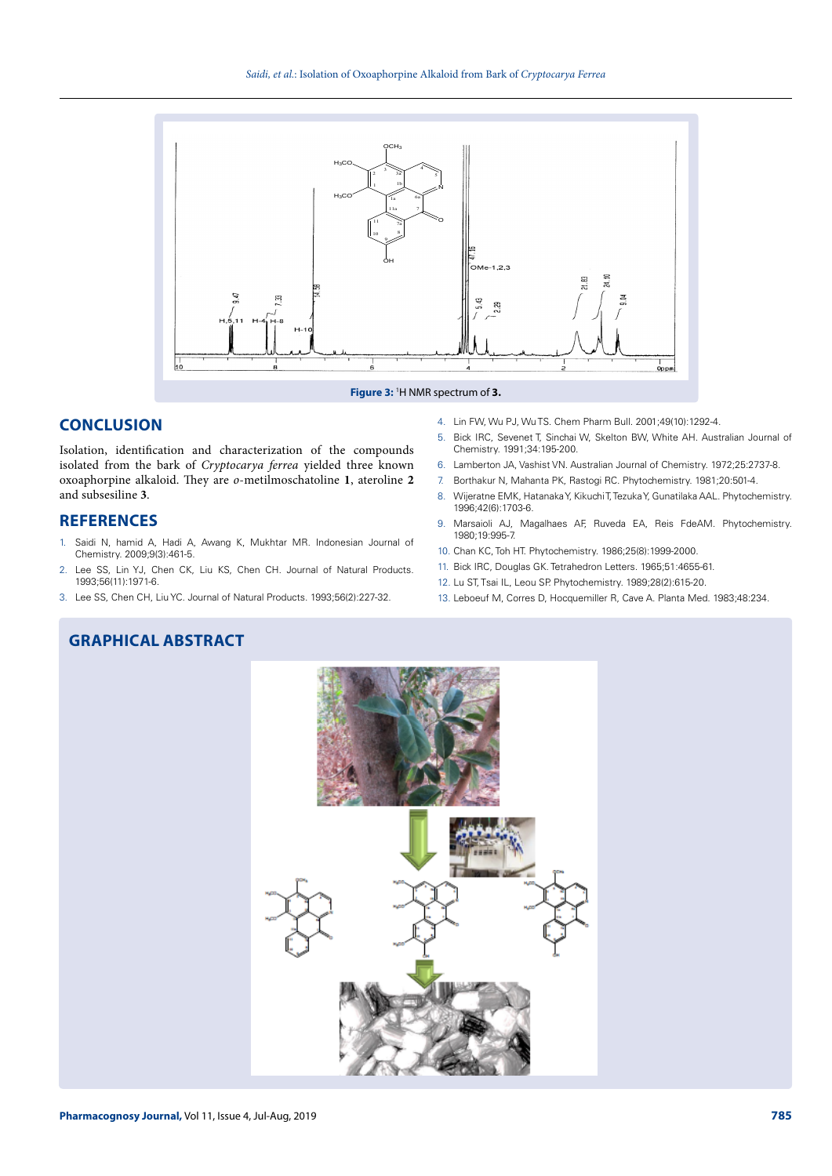

#### **Figure 3:** <sup>1</sup> H NMR spectrum of **3.**

# **CONCLUSION**

Isolation, identification and characterization of the compounds isolated from the bark of *Cryptocarya ferrea* yielded three known oxoaphorpine alkaloid. They are *o*-metilmoschatoline **1**, ateroline **2** and subsesiline **3**.

## **REFERENCES**

- 1. Saidi N, hamid A, Hadi A, Awang K, Mukhtar MR. Indonesian Journal of Chemistry. 2009;9(3):461-5.
- 2. Lee SS, Lin YJ, Chen CK, Liu KS, Chen CH. Journal of Natural Products. 1993;56(11):1971-6.
- 3. Lee SS, Chen CH, Liu YC. Journal of Natural Products. 1993;56(2):227-32.
- 4. Lin FW, Wu PJ, Wu TS. Chem Pharm Bull. 2001;49(10):1292-4.
- 5. Bick IRC, Sevenet T, Sinchai W, Skelton BW, White AH. Australian Journal of Chemistry. 1991;34:195-200.
- 6. Lamberton JA, Vashist VN. Australian Journal of Chemistry. 1972;25:2737-8.
- 7. Borthakur N, Mahanta PK, Rastogi RC. Phytochemistry. 1981;20:501-4.
- 8. Wijeratne EMK, Hatanaka Y, Kikuchi T, Tezuka Y, Gunatilaka AAL. Phytochemistry. 1996;42(6):1703-6.
- 9. Marsaioli AJ, Magalhaes AF, Ruveda EA, Reis FdeAM. Phytochemistry. 1980;19:995-7.
- 10. Chan KC, Toh HT. Phytochemistry. 1986;25(8):1999-2000.
- 11. Bick IRC, Douglas GK. Tetrahedron Letters. 1965;51:4655-61.
- 12. Lu ST, Tsai IL, Leou SP. Phytochemistry. 1989;28(2):615-20.
- 13. Leboeuf M, Corres D, Hocquemiller R, Cave A. Planta Med. 1983;48:234.

# **GRAPHICAL ABSTRACT**